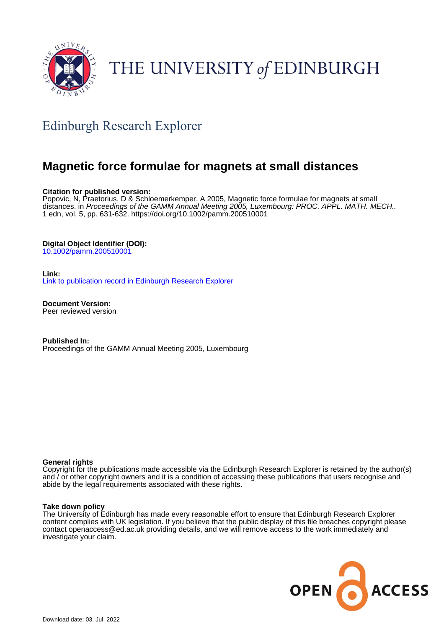

# THE UNIVERSITY of EDINBURGH

# Edinburgh Research Explorer

# **Magnetic force formulae for magnets at small distances**

# **Citation for published version:**

Popovic, N, Praetorius, D & Schloemerkemper, A 2005, Magnetic force formulae for magnets at small distances. in Proceedings of the GAMM Annual Meeting 2005, Luxembourg: PROC. APPL. MATH. MECH.. 1 edn, vol. 5, pp. 631-632. <https://doi.org/10.1002/pamm.200510001>

# **Digital Object Identifier (DOI):**

[10.1002/pamm.200510001](https://doi.org/10.1002/pamm.200510001)

# **Link:**

[Link to publication record in Edinburgh Research Explorer](https://www.research.ed.ac.uk/en/publications/6ba5eb72-bf7c-475a-b7b4-a0a644803112)

**Document Version:** Peer reviewed version

**Published In:** Proceedings of the GAMM Annual Meeting 2005, Luxembourg

## **General rights**

Copyright for the publications made accessible via the Edinburgh Research Explorer is retained by the author(s) and / or other copyright owners and it is a condition of accessing these publications that users recognise and abide by the legal requirements associated with these rights.

## **Take down policy**

The University of Edinburgh has made every reasonable effort to ensure that Edinburgh Research Explorer content complies with UK legislation. If you believe that the public display of this file breaches copyright please contact openaccess@ed.ac.uk providing details, and we will remove access to the work immediately and investigate your claim.

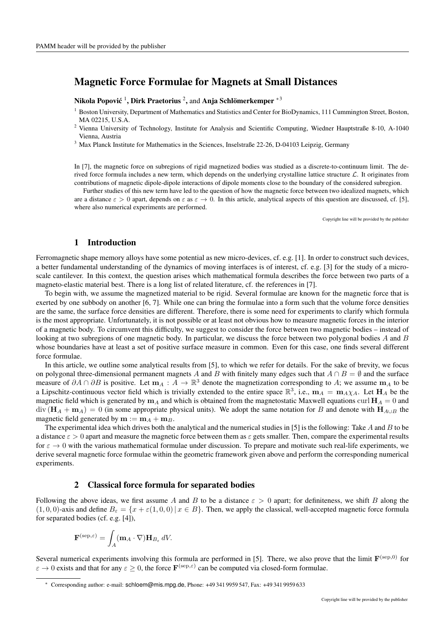# Magnetic Force Formulae for Magnets at Small Distances

## Nikola Popović  $^1$ , Dirk Praetorius  $^2$ , and Anja Schlömerkemper  $^{\ast 3}$

<sup>1</sup> Boston University, Department of Mathematics and Statistics and Center for BioDynamics, 111 Cummington Street, Boston, MA 02215, U.S.A.

<sup>2</sup> Vienna University of Technology, Institute for Analysis and Scientific Computing, Wiedner Hauptstraße 8-10, A-1040 Vienna, Austria

<sup>3</sup> Max Planck Institute for Mathematics in the Sciences, Inselstraße 22-26, D-04103 Leipzig, Germany

In [7], the magnetic force on subregions of rigid magnetized bodies was studied as a discrete-to-continuum limit. The derived force formula includes a new term, which depends on the underlying crystalline lattice structure  $\mathcal{L}$ . It originates from contributions of magnetic dipole-dipole interactions of dipole moments close to the boundary of the considered subregion.

Further studies of this new term have led to the question of how the magnetic force between two idealized magnets, which are a distance  $\varepsilon > 0$  apart, depends on  $\varepsilon$  as  $\varepsilon \to 0$ . In this article, analytical aspects of this question are discussed, cf. [5], where also numerical experiments are performed.

Copyright line will be provided by the publisher

# 1 Introduction

Ferromagnetic shape memory alloys have some potential as new micro-devices, cf. e.g. [1]. In order to construct such devices, a better fundamental understanding of the dynamics of moving interfaces is of interest, cf. e.g. [3] for the study of a microscale cantilever. In this context, the question arises which mathematical formula describes the force between two parts of a magneto-elastic material best. There is a long list of related literature, cf. the references in [7].

To begin with, we assume the magnetized material to be rigid. Several formulae are known for the magnetic force that is exerted by one subbody on another [6, 7]. While one can bring the formulae into a form such that the volume force densities are the same, the surface force densities are different. Therefore, there is some need for experiments to clarify which formula is the most appropriate. Unfortunately, it is not possible or at least not obvious how to measure magnetic forces in the interior of a magnetic body. To circumvent this difficulty, we suggest to consider the force between two magnetic bodies – instead of looking at two subregions of one magnetic body. In particular, we discuss the force between two polygonal bodies A and B whose boundaries have at least a set of positive surface measure in common. Even for this case, one finds several different force formulae.

In this article, we outline some analytical results from [5], to which we refer for details. For the sake of brevity, we focus on polygonal three-dimensional permanent magnets A and B with finitely many edges such that  $A \cap B = \emptyset$  and the surface measure of  $\partial A \cap \partial B$  is positive. Let  $m_A : A \to \mathbb{R}^3$  denote the magnetization corresponding to A; we assume  $m_A$  to be a Lipschitz-continuous vector field which is trivially extended to the entire space  $\mathbb{R}^3$ , i.e.,  $m_A = m_A \chi_A$ . Let  $H_A$  be the magnetic field which is generated by  $m_A$  and which is obtained from the magnetostatic Maxwell equations curl  $H_A = 0$  and  $\text{div} (\mathbf{H}_A + \mathbf{m}_A) = 0$  (in some appropriate physical units). We adopt the same notation for B and denote with  $\mathbf{H}_{A\cup B}$  the magnetic field generated by  $m := m_A + m_B$ .

The experimental idea which drives both the analytical and the numerical studies in [5] is the following: Take  $A$  and  $B$  to be a distance  $\varepsilon > 0$  apart and measure the magnetic force between them as  $\varepsilon$  gets smaller. Then, compare the experimental results for  $\varepsilon \to 0$  with the various mathematical formulae under discussion. To prepare and motivate such real-life experiments, we derive several magnetic force formulae within the geometric framework given above and perform the corresponding numerical experiments.

#### 2 Classical force formula for separated bodies

Following the above ideas, we first assume A and B to be a distance  $\varepsilon > 0$  apart; for definiteness, we shift B along the  $(1, 0, 0)$ -axis and define  $B_{\varepsilon} = \{x + \varepsilon(1, 0, 0) | x \in B\}$ . Then, we apply the classical, well-accepted magnetic force formula for separated bodies (cf. e.g. [4]),

$$
\mathbf{F}^{(\text{sep},\varepsilon)} = \int_A (\mathbf{m}_A \cdot \nabla) \mathbf{H}_{B_{\varepsilon}} dV.
$$

Several numerical experiments involving this formula are performed in [5]. There, we also prove that the limit  $F^{(sep,0)}$  for  $\varepsilon \to 0$  exists and that for any  $\varepsilon \ge 0$ , the force  $\mathbf{F}^{(\text{sep}, \varepsilon)}$  can be computed via closed-form formulae.

<sup>∗</sup> Corresponding author: e-mail: schloem@mis.mpg.de, Phone: +49 341 9959 547, Fax: +49 341 9959 633